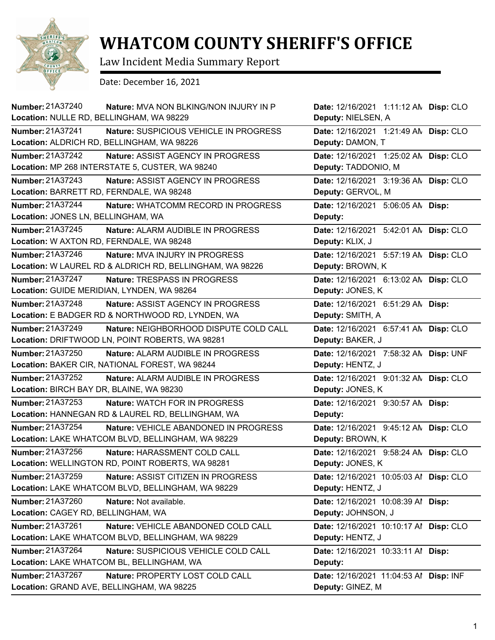

## **WHATCOM COUNTY SHERIFF'S OFFICE**

Law Incident Media Summary Report

Date: December 16, 2021

| <b>Number: 21A37240</b><br>Nature: MVA NON BLKING/NON INJURY IN P<br>Location: NULLE RD, BELLINGHAM, WA 98229         | Date: 12/16/2021 1:11:12 AN Disp: CLO<br>Deputy: NIELSEN, A  |  |
|-----------------------------------------------------------------------------------------------------------------------|--------------------------------------------------------------|--|
| <b>Number: 21A37241</b><br>Nature: SUSPICIOUS VEHICLE IN PROGRESS<br>Location: ALDRICH RD, BELLINGHAM, WA 98226       | Date: 12/16/2021 1:21:49 AN Disp: CLO<br>Deputy: DAMON, T    |  |
| Number: 21A37242<br>Nature: ASSIST AGENCY IN PROGRESS<br>Location: MP 268 INTERSTATE 5, CUSTER, WA 98240              | Date: 12/16/2021 1:25:02 AN Disp: CLO<br>Deputy: TADDONIO, M |  |
| Number: 21A37243<br>Nature: ASSIST AGENCY IN PROGRESS<br>Location: BARRETT RD, FERNDALE, WA 98248                     | Date: 12/16/2021 3:19:36 AN Disp: CLO<br>Deputy: GERVOL, M   |  |
| Number: 21A37244<br>Nature: WHATCOMM RECORD IN PROGRESS<br>Location: JONES LN, BELLINGHAM, WA                         | Date: 12/16/2021 5:06:05 AN Disp:<br>Deputy:                 |  |
| Number: 21A37245<br>Nature: ALARM AUDIBLE IN PROGRESS<br>Location: W AXTON RD, FERNDALE, WA 98248                     | Date: 12/16/2021 5:42:01 AN Disp: CLO<br>Deputy: KLIX, J     |  |
| Number: 21A37246<br><b>Nature: MVA INJURY IN PROGRESS</b><br>Location: W LAUREL RD & ALDRICH RD, BELLINGHAM, WA 98226 | Date: 12/16/2021 5:57:19 AN Disp: CLO<br>Deputy: BROWN, K    |  |
| Number: 21A37247<br>Nature: TRESPASS IN PROGRESS<br>Location: GUIDE MERIDIAN, LYNDEN, WA 98264                        | Date: 12/16/2021 6:13:02 AN Disp: CLO<br>Deputy: JONES, K    |  |
| Number: 21A37248<br>Nature: ASSIST AGENCY IN PROGRESS<br>Location: E BADGER RD & NORTHWOOD RD, LYNDEN, WA             | Date: 12/16/2021 6:51:29 AN Disp:<br>Deputy: SMITH, A        |  |
| <b>Number: 21A37249</b><br>Nature: NEIGHBORHOOD DISPUTE COLD CALL<br>Location: DRIFTWOOD LN, POINT ROBERTS, WA 98281  | Date: 12/16/2021 6:57:41 AN Disp: CLO<br>Deputy: BAKER, J    |  |
| Number: 21A37250<br>Nature: ALARM AUDIBLE IN PROGRESS<br>Location: BAKER CIR, NATIONAL FOREST, WA 98244               | Date: 12/16/2021 7:58:32 AN Disp: UNF<br>Deputy: HENTZ, J    |  |
| <b>Number: 21A37252</b><br>Nature: ALARM AUDIBLE IN PROGRESS<br>Location: BIRCH BAY DR, BLAINE, WA 98230              | Date: 12/16/2021 9:01:32 AN Disp: CLO<br>Deputy: JONES, K    |  |
| Number: 21A37253<br>Nature: WATCH FOR IN PROGRESS<br>Location: HANNEGAN RD & LAUREL RD, BELLINGHAM, WA                | Date: 12/16/2021 9:30:57 AN Disp:<br>Deputy:                 |  |
| Number: 21A37254<br>Nature: VEHICLE ABANDONED IN PROGRESS<br>Location: LAKE WHATCOM BLVD, BELLINGHAM, WA 98229        | Date: 12/16/2021 9:45:12 AN Disp: CLO<br>Deputy: BROWN, K    |  |
| Number: 21A37256<br>Nature: HARASSMENT COLD CALL<br>Location: WELLINGTON RD, POINT ROBERTS, WA 98281                  | Date: 12/16/2021 9:58:24 AN Disp: CLO<br>Deputy: JONES, K    |  |
| Number: 21A37259<br>Nature: ASSIST CITIZEN IN PROGRESS<br>Location: LAKE WHATCOM BLVD, BELLINGHAM, WA 98229           | Date: 12/16/2021 10:05:03 Al Disp: CLO<br>Deputy: HENTZ, J   |  |
| Number: 21A37260<br>Nature: Not available.<br>Location: CAGEY RD, BELLINGHAM, WA                                      | Date: 12/16/2021 10:08:39 Al Disp:<br>Deputy: JOHNSON, J     |  |
| Number: 21A37261<br>Nature: VEHICLE ABANDONED COLD CALL<br>Location: LAKE WHATCOM BLVD, BELLINGHAM, WA 98229          | Date: 12/16/2021 10:10:17 Al Disp: CLO<br>Deputy: HENTZ, J   |  |
| Number: 21A37264<br>Nature: SUSPICIOUS VEHICLE COLD CALL<br>Location: LAKE WHATCOM BL, BELLINGHAM, WA                 | Date: 12/16/2021 10:33:11 Al Disp:<br>Deputy:                |  |
| Number: 21A37267<br>Nature: PROPERTY LOST COLD CALL<br>Location: GRAND AVE, BELLINGHAM, WA 98225                      | Date: 12/16/2021 11:04:53 Al Disp: INF<br>Deputy: GINEZ, M   |  |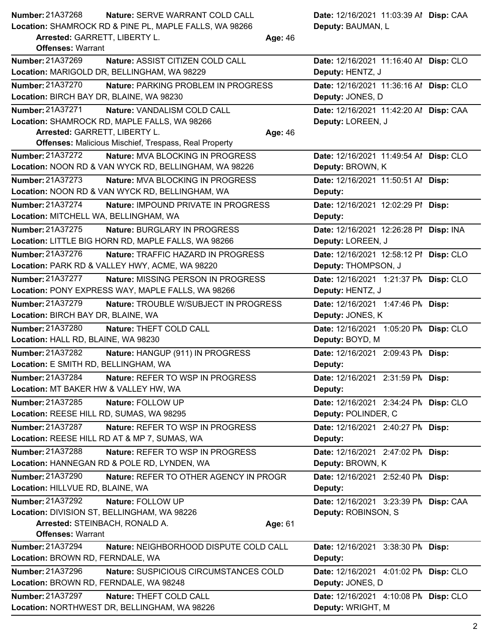| <b>Number: 21A37268</b><br>Nature: SERVE WARRANT COLD CALL                                               | Date: 12/16/2021 11:03:39 Al Disp: CAA       |
|----------------------------------------------------------------------------------------------------------|----------------------------------------------|
| Location: SHAMROCK RD & PINE PL, MAPLE FALLS, WA 98266                                                   | Deputy: BAUMAN, L                            |
| Arrested: GARRETT, LIBERTY L.<br>Age: 46<br><b>Offenses: Warrant</b>                                     |                                              |
| Number: 21A37269<br>Nature: ASSIST CITIZEN COLD CALL                                                     | Date: 12/16/2021 11:16:40 Al Disp: CLO       |
| Location: MARIGOLD DR, BELLINGHAM, WA 98229                                                              | Deputy: HENTZ, J                             |
| Number: 21A37270<br>Nature: PARKING PROBLEM IN PROGRESS                                                  | Date: 12/16/2021 11:36:16 Al Disp: CLO       |
| Location: BIRCH BAY DR, BLAINE, WA 98230                                                                 | Deputy: JONES, D                             |
| <b>Number: 21A37271</b><br>Nature: VANDALISM COLD CALL                                                   | Date: 12/16/2021 11:42:20 Al Disp: CAA       |
| Location: SHAMROCK RD, MAPLE FALLS, WA 98266                                                             | Deputy: LOREEN, J                            |
| Arrested: GARRETT, LIBERTY L.<br>Age: 46<br><b>Offenses: Malicious Mischief, Trespass, Real Property</b> |                                              |
| <b>Number: 21A37272</b><br>Nature: MVA BLOCKING IN PROGRESS                                              | Date: 12/16/2021 11:49:54 Al Disp: CLO       |
| Location: NOON RD & VAN WYCK RD, BELLINGHAM, WA 98226                                                    | Deputy: BROWN, K                             |
| <b>Number: 21A37273</b><br>Nature: MVA BLOCKING IN PROGRESS                                              | Date: 12/16/2021 11:50:51 Al Disp:           |
| Location: NOON RD & VAN WYCK RD, BELLINGHAM, WA                                                          | Deputy:                                      |
| <b>Number: 21A37274</b><br>Nature: IMPOUND PRIVATE IN PROGRESS                                           | Date: 12/16/2021 12:02:29 PI Disp:           |
| Location: MITCHELL WA, BELLINGHAM, WA                                                                    | Deputy:                                      |
| Number: 21A37275<br>Nature: BURGLARY IN PROGRESS                                                         | Date: 12/16/2021 12:26:28 PI Disp: INA       |
| Location: LITTLE BIG HORN RD, MAPLE FALLS, WA 98266                                                      | Deputy: LOREEN, J                            |
| <b>Number: 21A37276</b><br><b>Nature: TRAFFIC HAZARD IN PROGRESS</b>                                     | Date: 12/16/2021 12:58:12 PI Disp: CLO       |
| Location: PARK RD & VALLEY HWY, ACME, WA 98220                                                           | Deputy: THOMPSON, J                          |
| <b>Number: 21A37277</b><br><b>Nature: MISSING PERSON IN PROGRESS</b>                                     | Date: 12/16/2021 1:21:37 PN Disp: CLO        |
| Location: PONY EXPRESS WAY, MAPLE FALLS, WA 98266                                                        | Deputy: HENTZ, J                             |
| <b>Number: 21A37279</b><br>Nature: TROUBLE W/SUBJECT IN PROGRESS                                         | Date: 12/16/2021 1:47:46 PM Disp:            |
| Location: BIRCH BAY DR, BLAINE, WA                                                                       | Deputy: JONES, K                             |
| Number: 21A37280<br>Nature: THEFT COLD CALL                                                              | Date: 12/16/2021 1:05:20 PN Disp: CLO        |
| Location: HALL RD, BLAINE, WA 98230                                                                      | Deputy: BOYD, M                              |
| Number: 21A37282<br>Nature: HANGUP (911) IN PROGRESS                                                     | Date: 12/16/2021 2:09:43 PM Disp:            |
| Location: E SMITH RD, BELLINGHAM, WA                                                                     | Deputy:                                      |
| Number: 21A37284<br>Nature: REFER TO WSP IN PROGRESS                                                     | Date: 12/16/2021 2:31:59 PM Disp:            |
| Location: MT BAKER HW & VALLEY HW, WA                                                                    | Deputy:                                      |
| Number: 21A37285<br>Nature: FOLLOW UP                                                                    | Date: 12/16/2021 2:34:24 PN Disp: CLO        |
| Location: REESE HILL RD, SUMAS, WA 98295                                                                 | Deputy: POLINDER, C                          |
| Number: 21A37287<br>Nature: REFER TO WSP IN PROGRESS<br>Location: REESE HILL RD AT & MP 7, SUMAS, WA     | Date: 12/16/2021 2:40:27 PM Disp:<br>Deputy: |
| <b>Number: 21A37288</b><br>Nature: REFER TO WSP IN PROGRESS                                              | Date: 12/16/2021 2:47:02 PM Disp:            |
| Location: HANNEGAN RD & POLE RD, LYNDEN, WA                                                              | Deputy: BROWN, K                             |
| <b>Number: 21A37290</b><br>Nature: REFER TO OTHER AGENCY IN PROGR                                        | Date: 12/16/2021 2:52:40 PM Disp:            |
| Location: HILLVUE RD, BLAINE, WA                                                                         | Deputy:                                      |
| Number: 21A37292<br>Nature: FOLLOW UP                                                                    | Date: 12/16/2021 3:23:39 PN Disp: CAA        |
| Location: DIVISION ST, BELLINGHAM, WA 98226                                                              | Deputy: ROBINSON, S                          |
| Arrested: STEINBACH, RONALD A.<br>Age: 61                                                                |                                              |
| <b>Offenses: Warrant</b>                                                                                 |                                              |
| Number: 21A37294<br>Nature: NEIGHBORHOOD DISPUTE COLD CALL                                               | Date: 12/16/2021 3:38:30 PM Disp:            |
| Location: BROWN RD, FERNDALE, WA                                                                         | Deputy:                                      |
| Number: 21A37296<br>Nature: SUSPICIOUS CIRCUMSTANCES COLD                                                | Date: 12/16/2021 4:01:02 PM Disp: CLO        |
| Location: BROWN RD, FERNDALE, WA 98248                                                                   | Deputy: JONES, D                             |
| Number: 21A37297<br>Nature: THEFT COLD CALL                                                              | Date: 12/16/2021 4:10:08 PM Disp: CLO        |
| Location: NORTHWEST DR, BELLINGHAM, WA 98226                                                             | Deputy: WRIGHT, M                            |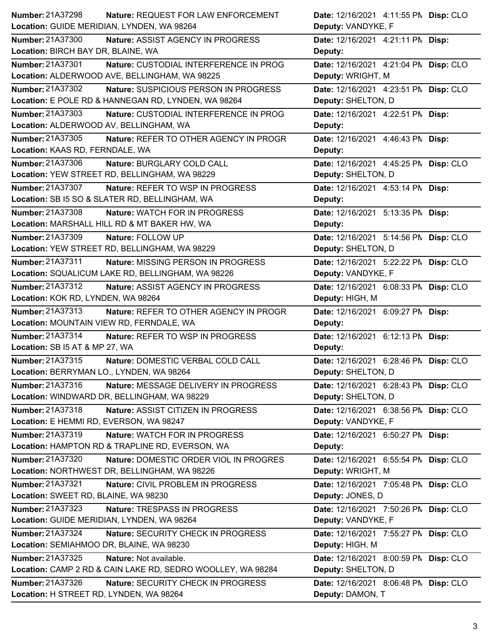| <b>Number: 21A37298</b><br><b>Nature: REQUEST FOR LAW ENFORCEMENT</b> | Date: 12/16/2021 4:11:55 PM Disp: CLO |
|-----------------------------------------------------------------------|---------------------------------------|
| Location: GUIDE MERIDIAN, LYNDEN, WA 98264                            | Deputy: VANDYKE, F                    |
| <b>Number: 21A37300</b><br>Nature: ASSIST AGENCY IN PROGRESS          | Date: 12/16/2021 4:21:11 PM Disp:     |
| Location: BIRCH BAY DR, BLAINE, WA                                    | Deputy:                               |
| Number: 21A37301<br>Nature: CUSTODIAL INTERFERENCE IN PROG            | Date: 12/16/2021 4:21:04 PM Disp: CLO |
| Location: ALDERWOOD AVE, BELLINGHAM, WA 98225                         | Deputy: WRIGHT, M                     |
| <b>Number: 21A37302</b><br>Nature: SUSPICIOUS PERSON IN PROGRESS      | Date: 12/16/2021 4:23:51 PM Disp: CLO |
| Location: E POLE RD & HANNEGAN RD, LYNDEN, WA 98264                   | Deputy: SHELTON, D                    |
| Number: 21A37303<br>Nature: CUSTODIAL INTERFERENCE IN PROG            | Date: 12/16/2021 4:22:51 PM Disp:     |
| Location: ALDERWOOD AV, BELLINGHAM, WA                                | Deputy:                               |
| Number: 21A37305<br>Nature: REFER TO OTHER AGENCY IN PROGR            | Date: 12/16/2021 4:46:43 PM Disp:     |
| Location: KAAS RD, FERNDALE, WA                                       | Deputy:                               |
| Number: 21A37306<br>Nature: BURGLARY COLD CALL                        | Date: 12/16/2021 4:45:25 PN Disp: CLO |
| Location: YEW STREET RD, BELLINGHAM, WA 98229                         | Deputy: SHELTON, D                    |
| <b>Number: 21A37307</b><br>Nature: REFER TO WSP IN PROGRESS           | Date: 12/16/2021 4:53:14 PM Disp:     |
| Location: SB I5 SO & SLATER RD, BELLINGHAM, WA                        | Deputy:                               |
| <b>Number: 21A37308</b><br>Nature: WATCH FOR IN PROGRESS              | Date: 12/16/2021 5:13:35 PM Disp:     |
| Location: MARSHALL HILL RD & MT BAKER HW, WA                          | Deputy:                               |
| Number: 21A37309<br>Nature: FOLLOW UP                                 | Date: 12/16/2021 5:14:56 PN Disp: CLO |
| Location: YEW STREET RD, BELLINGHAM, WA 98229                         | Deputy: SHELTON, D                    |
| <b>Number: 21A37311</b><br>Nature: MISSING PERSON IN PROGRESS         | Date: 12/16/2021 5:22:22 PN Disp: CLO |
| Location: SQUALICUM LAKE RD, BELLINGHAM, WA 98226                     | Deputy: VANDYKE, F                    |
| Number: 21A37312<br>Nature: ASSIST AGENCY IN PROGRESS                 | Date: 12/16/2021 6:08:33 PN Disp: CLO |
| Location: KOK RD, LYNDEN, WA 98264                                    | Deputy: HIGH, M                       |
| Number: 21A37313<br>Nature: REFER TO OTHER AGENCY IN PROGR            | Date: 12/16/2021 6:09:27 PM Disp:     |
|                                                                       |                                       |
| Location: MOUNTAIN VIEW RD, FERNDALE, WA                              | Deputy:                               |
| Number: 21A37314<br>Nature: REFER TO WSP IN PROGRESS                  | Date: 12/16/2021 6:12:13 PM Disp:     |
| Location: SB I5 AT & MP 27, WA                                        | Deputy:                               |
| Number: 21A37315<br>Nature: DOMESTIC VERBAL COLD CALL                 | Date: 12/16/2021 6:28:46 PM Disp: CLO |
| Location: BERRYMAN LO., LYNDEN, WA 98264                              | Deputy: SHELTON, D                    |
| Number: 21A37316<br>Nature: MESSAGE DELIVERY IN PROGRESS              | Date: 12/16/2021 6:28:43 PM Disp: CLO |
| Location: WINDWARD DR, BELLINGHAM, WA 98229                           | Deputy: SHELTON, D                    |
| Number: 21A37318<br>Nature: ASSIST CITIZEN IN PROGRESS                | Date: 12/16/2021 6:38:56 PM Disp: CLO |
| Location: E HEMMI RD, EVERSON, WA 98247                               | Deputy: VANDYKE, F                    |
| Number: 21A37319<br>Nature: WATCH FOR IN PROGRESS                     | Date: 12/16/2021 6:50:27 PM Disp:     |
| Location: HAMPTON RD & TRAPLINE RD, EVERSON, WA                       | Deputy:                               |
| <b>Number: 21A37320</b><br>Nature: DOMESTIC ORDER VIOL IN PROGRES     | Date: 12/16/2021 6:55:54 PM Disp: CLO |
| Location: NORTHWEST DR, BELLINGHAM, WA 98226                          | Deputy: WRIGHT, M                     |
| Number: 21A37321<br>Nature: CIVIL PROBLEM IN PROGRESS                 | Date: 12/16/2021 7:05:48 PN Disp: CLO |
| Location: SWEET RD, BLAINE, WA 98230                                  | Deputy: JONES, D                      |
| Number: 21A37323<br>Nature: TRESPASS IN PROGRESS                      | Date: 12/16/2021 7:50:26 PN Disp: CLO |
| Location: GUIDE MERIDIAN, LYNDEN, WA 98264                            | Deputy: VANDYKE, F                    |
| Number: 21A37324<br>Nature: SECURITY CHECK IN PROGRESS                | Date: 12/16/2021 7:55:27 PM Disp: CLO |
| Location: SEMIAHMOO DR, BLAINE, WA 98230                              | Deputy: HIGH, M                       |
| <b>Number: 21A37325</b><br>Nature: Not available.                     | Date: 12/16/2021 8:00:59 PM Disp: CLO |
| Location: CAMP 2 RD & CAIN LAKE RD, SEDRO WOOLLEY, WA 98284           | Deputy: SHELTON, D                    |
| <b>Number: 21A37326</b><br>Nature: SECURITY CHECK IN PROGRESS         | Date: 12/16/2021 8:06:48 PM Disp: CLO |